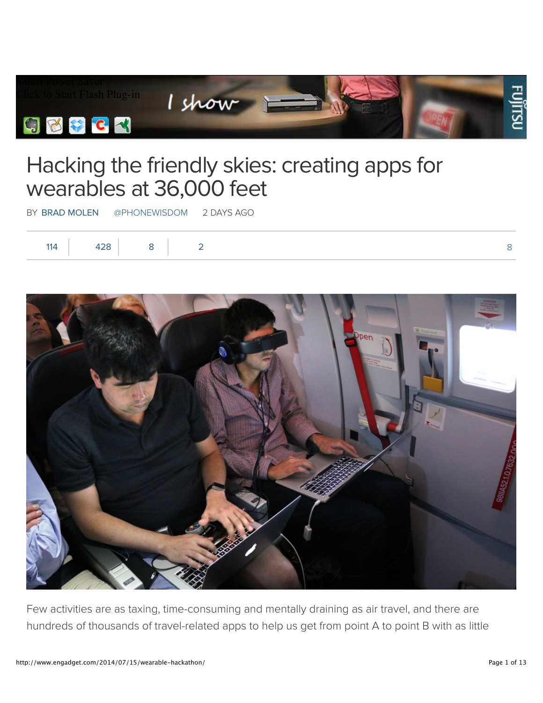

## Hacking the friendly skies: creating apps for wearables at 36,000 feet

BY BRAD MOLEN @PHONEWISDOM 2 DAYS AGO

| 11 $\Delta$ | __ |  |
|-------------|----|--|
|             |    |  |



Few activities are as taxing, time-consuming and mentally draining as air travel, and there are hundreds of thousands of travel-related apps to help us get from point A to point B with as little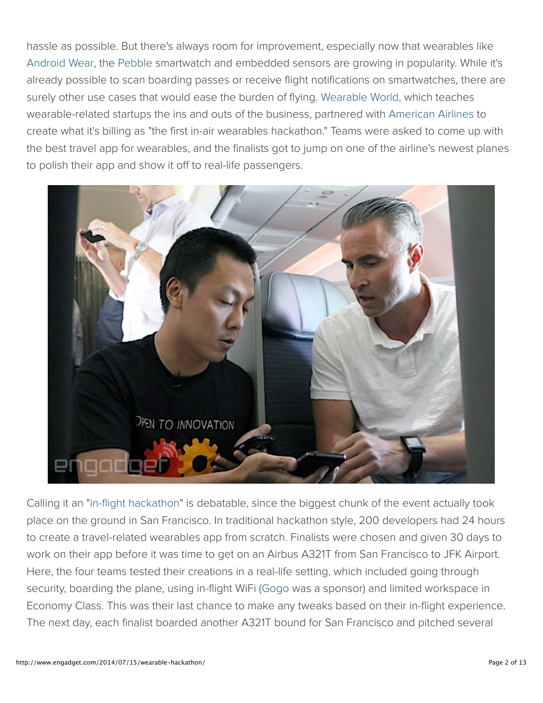hassle as possible. But there's always room for improvement, especially now that wearables like Android Wear, the Pebble smartwatch and embedded sensors are growing in popularity. While it's already possible to scan boarding passes or receive flight notifications on smartwatches, there are surely other use cases that would ease the burden of flying. Wearable World, which teaches wearable-related startups the ins and outs of the business, partnered with American Airlines to create what it's billing as "the first in-air wearables hackathon." Teams were asked to come up with the best travel app for wearables, and the finalists got to jump on one of the airline's newest planes to polish their app and show it off to real-life passengers.



Calling it an "in-flight hackathon" is debatable, since the biggest chunk of the event actually took place on the ground in San Francisco. In traditional hackathon style, 200 developers had 24 hours to create a travel-related wearables app from scratch. Finalists were chosen and given 30 days to work on their app before it was time to get on an Airbus A321T from San Francisco to JFK Airport. Here, the four teams tested their creations in a real-life setting, which included going through security, boarding the plane, using in-flight WiFi (Gogo was a sponsor) and limited workspace in Economy Class. This was their last chance to make any tweaks based on their in-flight experience. The next day, each finalist boarded another A321T bound for San Francisco and pitched several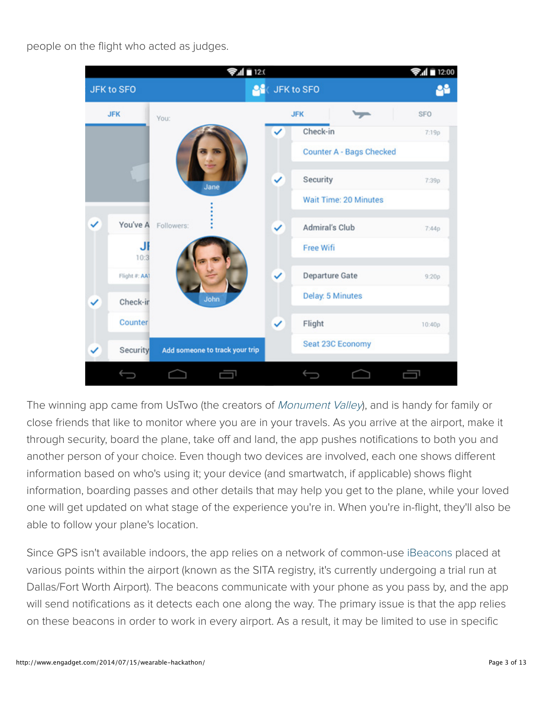people on the flight who acted as judges.



The winning app came from UsTwo (the creators of Monument Valley), and is handy for family or close friends that like to monitor where you are in your travels. As you arrive at the airport, make it through security, board the plane, take off and land, the app pushes notifications to both you and another person of your choice. Even though two devices are involved, each one shows different information based on who's using it; your device (and smartwatch, if applicable) shows flight information, boarding passes and other details that may help you get to the plane, while your loved one will get updated on what stage of the experience you're in. When you're in-flight, they'll also be able to follow your plane's location.

Since GPS isn't available indoors, the app relies on a network of common-use iBeacons placed at various points within the airport (known as the SITA registry, it's currently undergoing a trial run at Dallas/Fort Worth Airport). The beacons communicate with your phone as you pass by, and the app will send notifications as it detects each one along the way. The primary issue is that the app relies on these beacons in order to work in every airport. As a result, it may be limited to use in specific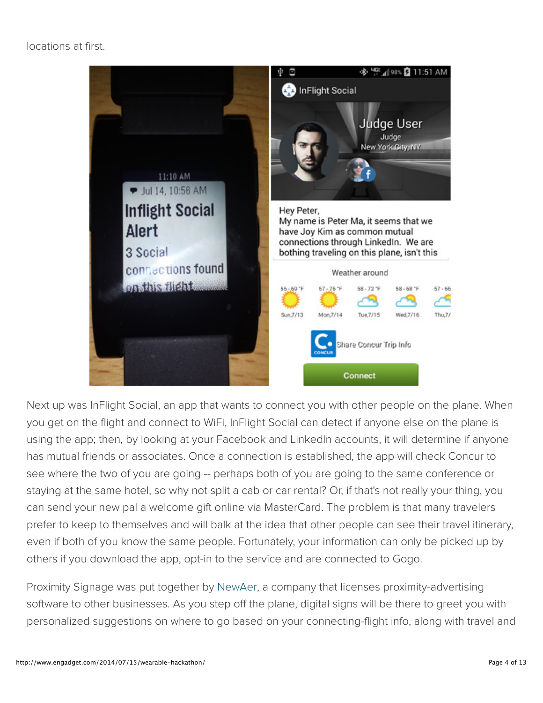## locations at first.



Next up was InFlight Social, an app that wants to connect you with other people on the plane. When you get on the flight and connect to WiFi, InFlight Social can detect if anyone else on the plane is using the app; then, by looking at your Facebook and LinkedIn accounts, it will determine if anyone has mutual friends or associates. Once a connection is established, the app will check Concur to see where the two of you are going -- perhaps both of you are going to the same conference or staying at the same hotel, so why not split a cab or car rental? Or, if that's not really your thing, you can send your new pal a welcome gift online via MasterCard. The problem is that many travelers prefer to keep to themselves and will balk at the idea that other people can see their travel itinerary, even if both of you know the same people. Fortunately, your information can only be picked up by others if you download the app, opt-in to the service and are connected to Gogo.

Proximity Signage was put together by NewAer, a company that licenses proximity-advertising software to other businesses. As you step off the plane, digital signs will be there to greet you with personalized suggestions on where to go based on your connecting-flight info, along with travel and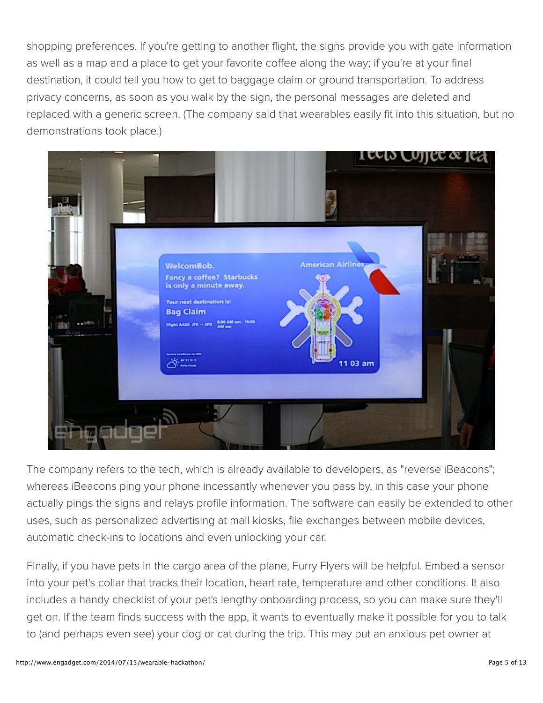shopping preferences. If you're getting to another flight, the signs provide you with gate information as well as a map and a place to get your favorite coffee along the way; if you're at your final destination, it could tell you how to get to baggage claim or ground transportation. To address privacy concerns, as soon as you walk by the sign, the personal messages are deleted and replaced with a generic screen. (The company said that wearables easily fit into this situation, but no demonstrations took place.)



The company refers to the tech, which is already available to developers, as "reverse iBeacons"; whereas iBeacons ping your phone incessantly whenever you pass by, in this case your phone actually pings the signs and relays profile information. The software can easily be extended to other uses, such as personalized advertising at mall kiosks, file exchanges between mobile devices, automatic check-ins to locations and even unlocking your car.

Finally, if you have pets in the cargo area of the plane, Furry Flyers will be helpful. Embed a sensor into your pet's collar that tracks their location, heart rate, temperature and other conditions. It also includes a handy checklist of your pet's lengthy onboarding process, so you can make sure they'll get on. If the team finds success with the app, it wants to eventually make it possible for you to talk to (and perhaps even see) your dog or cat during the trip. This may put an anxious pet owner at